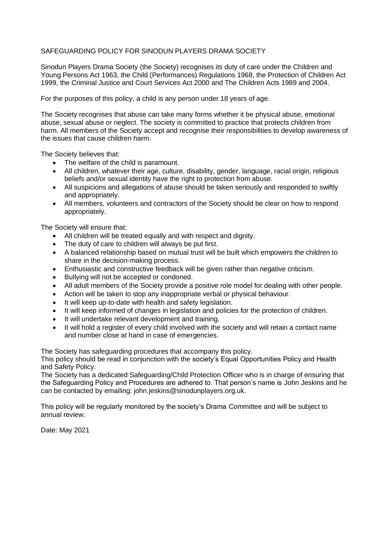## SAFEGUARDING POLICY FOR SINODUN PLAYERS DRAMA SOCIETY

Sinodun Players Drama Society (the Society) recognises its duty of care under the Children and Young Persons Act 1963, the Child (Performances) Regulations 1968, the Protection of Children Act 1999, the Criminal Justice and Court Services Act 2000 and The Children Acts 1989 and 2004.

For the purposes of this policy, a child is any person under 18 years of age.

The Society recognises that abuse can take many forms whether it be physical abuse, emotional abuse, sexual abuse or neglect. The society is committed to practice that protects children from harm. All members of the Society accept and recognise their responsibilities to develop awareness of the issues that cause children harm.

The Society believes that:

- The welfare of the child is paramount.
- All children, whatever their age, culture, disability, gender, language, racial origin, religious beliefs and/or sexual identity have the right to protection from abuse.
- All suspicions and allegations of abuse should be taken seriously and responded to swiftly and appropriately.
- All members, volunteers and contractors of the Society should be clear on how to respond appropriately.

The Society will ensure that:

- All children will be treated equally and with respect and dignity.
- The duty of care to children will always be put first.
- A balanced relationship based on mutual trust will be built which empowers the children to share in the decision-making process.
- Enthusiastic and constructive feedback will be given rather than negative criticism.
- Bullying will not be accepted or condoned.
- All adult members of the Society provide a positive role model for dealing with other people.
- Action will be taken to stop any inappropriate verbal or physical behaviour.
- It will keep up-to-date with health and safety legislation.
- It will keep informed of changes in legislation and policies for the protection of children.
- It will undertake relevant development and training.
- It will hold a register of every child involved with the society and will retain a contact name and number close at hand in case of emergencies.

The Society has safeguarding procedures that accompany this policy.

This policy should be read in conjunction with the society's Equal Opportunities Policy and Health and Safety Policy.

The Society has a dedicated Safeguarding/Child Protection Officer who is in charge of ensuring that the Safeguarding Policy and Procedures are adhered to. That person's name is John Jeskins and he can be contacted by emailing: john.jeskins@sinodunplayers.org.uk.

This policy will be regularly monitored by the society's Drama Committee and will be subject to annual review.

Date: May 2021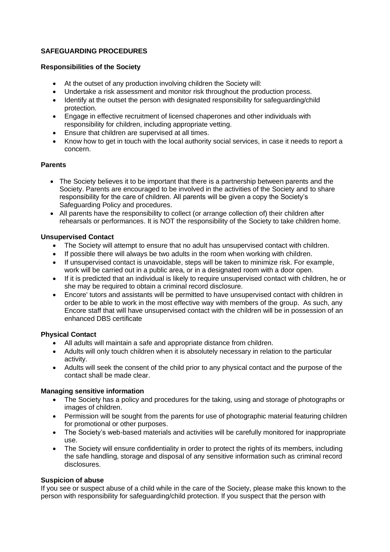# **SAFEGUARDING PROCEDURES**

## **Responsibilities of the Society**

- At the outset of any production involving children the Society will:
- Undertake a risk assessment and monitor risk throughout the production process.
- Identify at the outset the person with designated responsibility for safeguarding/child protection.
- Engage in effective recruitment of licensed chaperones and other individuals with responsibility for children, including appropriate vetting.
- Ensure that children are supervised at all times.
- Know how to get in touch with the local authority social services, in case it needs to report a concern.

### **Parents**

- The Society believes it to be important that there is a partnership between parents and the Society. Parents are encouraged to be involved in the activities of the Society and to share responsibility for the care of children. All parents will be given a copy the Society's Safeguarding Policy and procedures.
- All parents have the responsibility to collect (or arrange collection of) their children after rehearsals or performances. It is NOT the responsibility of the Society to take children home.

### **Unsupervised Contact**

- The Society will attempt to ensure that no adult has unsupervised contact with children.
- If possible there will always be two adults in the room when working with children.
- If unsupervised contact is unavoidable, steps will be taken to minimize risk. For example, work will be carried out in a public area, or in a designated room with a door open.
- If it is predicted that an individual is likely to require unsupervised contact with children, he or she may be required to obtain a criminal record disclosure.
- Encore' tutors and assistants will be permitted to have unsupervised contact with children in order to be able to work in the most effective way with members of the group. As such, any Encore staff that will have unsupervised contact with the children will be in possession of an enhanced DBS certificate

#### **Physical Contact**

- All adults will maintain a safe and appropriate distance from children.
- Adults will only touch children when it is absolutely necessary in relation to the particular activity.
- Adults will seek the consent of the child prior to any physical contact and the purpose of the contact shall be made clear.

#### **Managing sensitive information**

- The Society has a policy and procedures for the taking, using and storage of photographs or images of children.
- Permission will be sought from the parents for use of photographic material featuring children for promotional or other purposes.
- The Society's web-based materials and activities will be carefully monitored for inappropriate use.
- The Society will ensure confidentiality in order to protect the rights of its members, including the safe handling, storage and disposal of any sensitive information such as criminal record disclosures.

## **Suspicion of abuse**

If you see or suspect abuse of a child while in the care of the Society, please make this known to the person with responsibility for safeguarding/child protection. If you suspect that the person with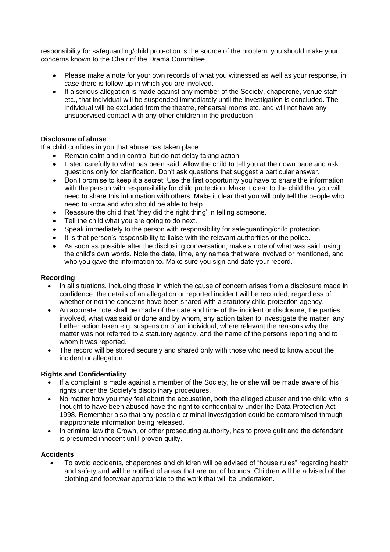responsibility for safeguarding/child protection is the source of the problem, you should make your concerns known to the Chair of the Drama Committee

- . • Please make a note for your own records of what you witnessed as well as your response, in case there is follow-up in which you are involved.
- If a serious allegation is made against any member of the Society, chaperone, venue staff etc., that individual will be suspended immediately until the investigation is concluded. The individual will be excluded from the theatre, rehearsal rooms etc. and will not have any unsupervised contact with any other children in the production

### **Disclosure of abuse**

If a child confides in you that abuse has taken place:

- Remain calm and in control but do not delay taking action.
- Listen carefully to what has been said. Allow the child to tell you at their own pace and ask questions only for clarification. Don't ask questions that suggest a particular answer.
- Don't promise to keep it a secret. Use the first opportunity you have to share the information with the person with responsibility for child protection. Make it clear to the child that you will need to share this information with others. Make it clear that you will only tell the people who need to know and who should be able to help.
- Reassure the child that 'they did the right thing' in telling someone.
- Tell the child what you are going to do next.
- Speak immediately to the person with responsibility for safeguarding/child protection
- It is that person's responsibility to liaise with the relevant authorities or the police.
- As soon as possible after the disclosing conversation, make a note of what was said, using the child's own words. Note the date, time, any names that were involved or mentioned, and who you gave the information to. Make sure you sign and date your record.

#### **Recording**

- In all situations, including those in which the cause of concern arises from a disclosure made in confidence, the details of an allegation or reported incident will be recorded, regardless of whether or not the concerns have been shared with a statutory child protection agency.
- An accurate note shall be made of the date and time of the incident or disclosure, the parties involved, what was said or done and by whom, any action taken to investigate the matter, any further action taken e.g. suspension of an individual, where relevant the reasons why the matter was not referred to a statutory agency, and the name of the persons reporting and to whom it was reported.
- The record will be stored securely and shared only with those who need to know about the incident or allegation.

#### **Rights and Confidentiality**

- If a complaint is made against a member of the Society, he or she will be made aware of his rights under the Society's disciplinary procedures.
- No matter how you may feel about the accusation, both the alleged abuser and the child who is thought to have been abused have the right to confidentiality under the Data Protection Act 1998. Remember also that any possible criminal investigation could be compromised through inappropriate information being released.
- In criminal law the Crown, or other prosecuting authority, has to prove guilt and the defendant is presumed innocent until proven guilty.

### **Accidents**

• To avoid accidents, chaperones and children will be advised of "house rules" regarding health and safety and will be notified of areas that are out of bounds. Children will be advised of the clothing and footwear appropriate to the work that will be undertaken.